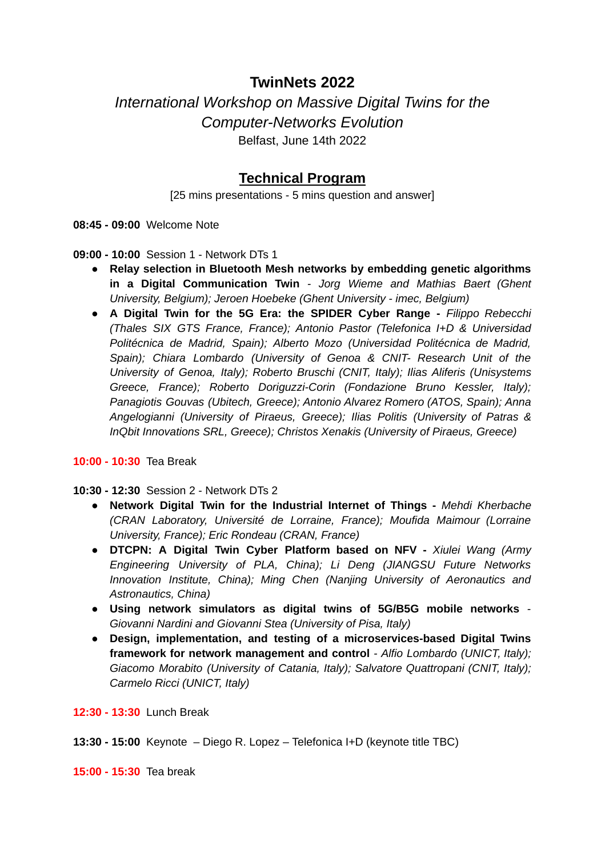## **TwinNets 2022**

*International Workshop on Massive Digital Twins for the Computer-Networks Evolution* Belfast, June 14th 2022

## **Technical Program**

[25 mins presentations - 5 mins question and answer]

**08:45 - 09:00** Welcome Note

**09:00 - 10:00** Session 1 - Network DTs 1

- *●* **Relay selection in Bluetooth Mesh networks by embedding genetic algorithms in a Digital Communication Twin** *- Jorg Wieme and Mathias Baert (Ghent University, Belgium); Jeroen Hoebeke (Ghent University - imec, Belgium)*
- **● A Digital Twin for the 5G Era: the SPIDER Cyber Range -** *Filippo Rebecchi (Thales SIX GTS France, France); Antonio Pastor (Telefonica I+D & Universidad Politécnica de Madrid, Spain); Alberto Mozo (Universidad Politécnica de Madrid, Spain); Chiara Lombardo (University of Genoa & CNIT- Research Unit of the University of Genoa, Italy); Roberto Bruschi (CNIT, Italy); Ilias Aliferis (Unisystems Greece, France); Roberto Doriguzzi-Corin (Fondazione Bruno Kessler, Italy); Panagiotis Gouvas (Ubitech, Greece); Antonio Alvarez Romero (ATOS, Spain); Anna Angelogianni (University of Piraeus, Greece); Ilias Politis (University of Patras & InQbit Innovations SRL, Greece); Christos Xenakis (University of Piraeus, Greece)*

**10:00 - 10:30** Tea Break

**10:30 - 12:30** Session 2 - Network DTs 2

- **● Network Digital Twin for the Industrial Internet of Things -** *Mehdi Kherbache (CRAN Laboratory, Université de Lorraine, France); Moufida Maimour (Lorraine University, France); Eric Rondeau (CRAN, France)*
- **● DTCPN: A Digital Twin Cyber Platform based on NFV -** *Xiulei Wang (Army Engineering University of PLA, China); Li Deng (JIANGSU Future Networks Innovation Institute, China); Ming Chen (Nanjing University of Aeronautics and Astronautics, China)*
- *●* **Using network simulators as digital twins of 5G/B5G mobile networks** *- Giovanni Nardini and Giovanni Stea (University of Pisa, Italy)*
- *●* **Design, implementation, and testing of a microservices-based Digital Twins framework for network management and control** *- Alfio Lombardo (UNICT, Italy); Giacomo Morabito (University of Catania, Italy); Salvatore Quattropani (CNIT, Italy); Carmelo Ricci (UNICT, Italy)*

**12:30 - 13:30** Lunch Break

**13:30 - 15:00** Keynote – Diego R. Lopez – Telefonica I+D (keynote title TBC)

**15:00 - 15:30** Tea break